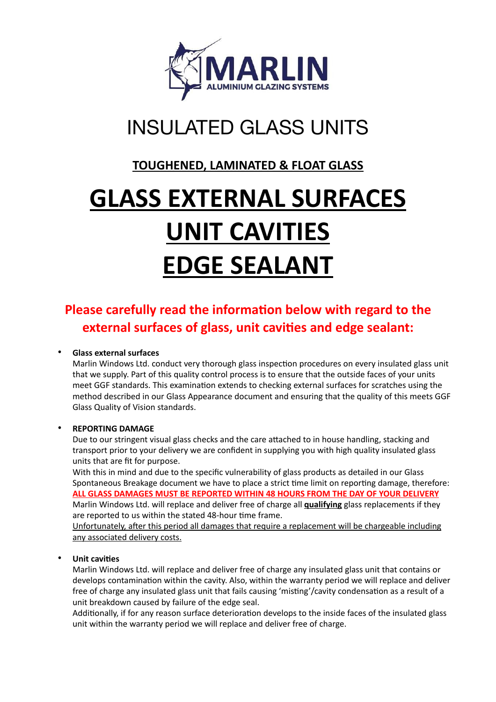

# INSULATED GLASS UNITS

## **TOUGHENED, LAMINATED & FLOAT GLASS**

# **GLASS EXTERNAL SURFACES UNIT CAVITIES EDGE SEALANT**

## **Please carefully read the information below with regard to the external surfaces of glass, unit cavities and edge sealant:**

#### • **Glass external surfaces**

Marlin Windows Ltd. conduct very thorough glass inspection procedures on every insulated glass unit that we supply. Part of this quality control process is to ensure that the outside faces of your units meet GGF standards. This examination extends to checking external surfaces for scratches using the method described in our Glass Appearance document and ensuring that the quality of this meets GGF Glass Quality of Vision standards.

#### • **REPORTING DAMAGE**

Due to our stringent visual glass checks and the care attached to in house handling, stacking and transport prior to your delivery we are confident in supplying you with high quality insulated glass units that are fit for purpose.

With this in mind and due to the specific vulnerability of glass products as detailed in our Glass Spontaneous Breakage document we have to place a strict time limit on reporting damage, therefore: **ALL GLASS DAMAGES MUST BE REPORTED WITHIN 48 HOURS FROM THE DAY OF YOUR DELIVERY** Marlin Windows Ltd. will replace and deliver free of charge all **qualifying** glass replacements if they are reported to us within the stated 48-hour time frame.

Unfortunately, after this period all damages that require a replacement will be chargeable including any associated delivery costs.

#### • **Unit cavities**

Marlin Windows Ltd. will replace and deliver free of charge any insulated glass unit that contains or develops contamination within the cavity. Also, within the warranty period we will replace and deliver free of charge any insulated glass unit that fails causing 'misting'/cavity condensation as a result of a unit breakdown caused by failure of the edge seal.

Additionally, if for any reason surface deterioration develops to the inside faces of the insulated glass unit within the warranty period we will replace and deliver free of charge.